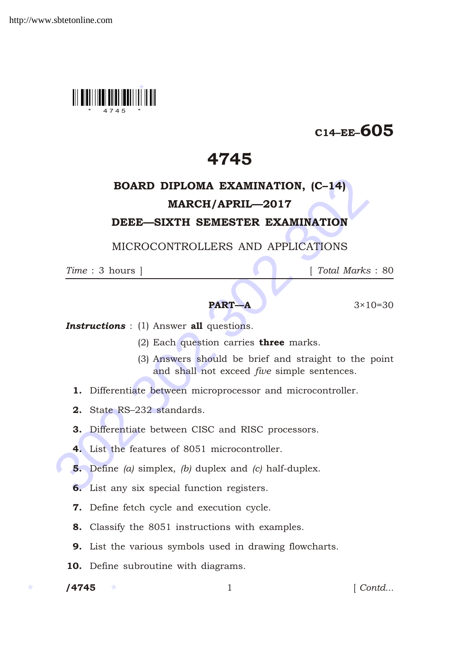

# C14–EE–605

# 4745

# **BOARD DIPLOMA EXAMINATION, (C-14)**<br> **MARCH/APRIL—2017**<br> **DEEE—SIXTH SEMESTER EXAMINATION**<br>
MICROCONTROLLERS AND APPLICATIONS<br>
Time : 3 hours ]<br>
[Total Marks :<br> **PART—A** 3×10=<br> **Instructions** : (1) Answer all questions.<br> BOARD DIPLOMA EXAMINATION, (C–14) MARCH/APRIL—2017

### DEEE—SIXTH SEMESTER EXAMINATION

MICROCONTROLLERS AND APPLICATIONS

*Time* : 3 hours ] [ *Total Marks* : 80

## **PART—A**  $3 \times 10 = 30$

**Instructions** : (1) Answer all questions.

- (2) Each question carries three marks.
- (3) Answers should be brief and straight to the point and shall not exceed *five* simple sentences.
- 1. Differentiate between microprocessor and microcontroller.
- 2. State RS–232 standards.
- 3. Differentiate between CISC and RISC processors.
- 4. List the features of 8051 microcontroller.
- 5. Define *(a)* simplex, *(b)* duplex and *(c)* half-duplex.
- 6. List any six special function registers.
- 7. Define fetch cycle and execution cycle.
- 8. Classify the 8051 instructions with examples.
- 9. List the various symbols used in drawing flowcharts.
- 10. Define subroutine with diagrams.
- /4745

1 *Contd...*